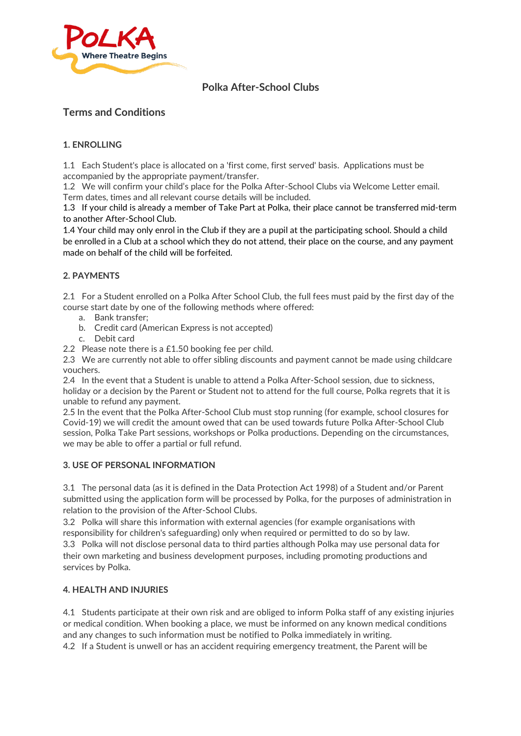

# **Polka After-School Clubs**

# **Terms and Conditions**

## **1. ENROLLING**

1.1 Each Student's place is allocated on a 'first come, first served' basis. Applications must be accompanied by the appropriate payment/transfer.

1.2 We will confirm your child's place for the Polka After-School Clubs via Welcome Letter email. Term dates, times and all relevant course details will be included.

1.3 If your child is already a member of Take Part at Polka, their place cannot be transferred mid-term to another After-School Club.

1.4 Your child may only enrol in the Club if they are a pupil at the participating school. Should a child be enrolled in a Club at a school which they do not attend, their place on the course, and any payment made on behalf of the child will be forfeited.

### **2. PAYMENTS**

2.1 For a Student enrolled on a Polka After School Club, the full fees must paid by the first day of the course start date by one of the following methods where offered:

- a. Bank transfer;
- b. Credit card (American Express is not accepted)
- c. Debit card

2.2 Please note there is a £1.50 booking fee per child.

2.3 We are currently not able to offer sibling discounts and payment cannot be made using childcare vouchers.

2.4 In the event that a Student is unable to attend a Polka After-School session, due to sickness, holiday or a decision by the Parent or Student not to attend for the full course, Polka regrets that it is unable to refund any payment.

2.5 In the event that the Polka After-School Club must stop running (for example, school closures for Covid-19) we will credit the amount owed that can be used towards future Polka After-School Club session, Polka Take Part sessions, workshops or Polka productions. Depending on the circumstances, we may be able to offer a partial or full refund.

### **3. USE OF PERSONAL INFORMATION**

3.1 The personal data (as it is defined in the Data Protection Act 1998) of a Student and/or Parent submitted using the application form will be processed by Polka, for the purposes of administration in relation to the provision of the After-School Clubs.

3.2 Polka will share this information with external agencies (for example organisations with responsibility for children's safeguarding) only when required or permitted to do so by law. 3.3 Polka will not disclose personal data to third parties although Polka may use personal data for their own marketing and business development purposes, including promoting productions and services by Polka.

#### **4. HEALTH AND INJURIES**

4.1 Students participate at their own risk and are obliged to inform Polka staff of any existing injuries or medical condition. When booking a place, we must be informed on any known medical conditions and any changes to such information must be notified to Polka immediately in writing.

4.2 If a Student is unwell or has an accident requiring emergency treatment, the Parent will be